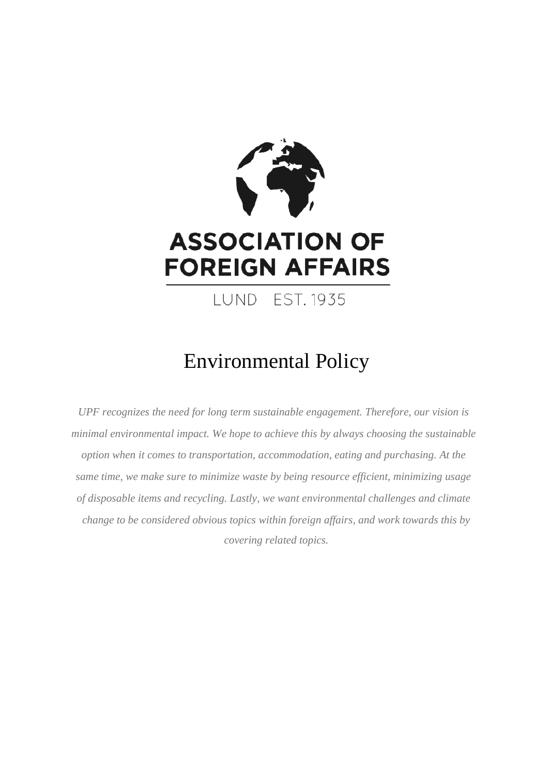

# Environmental Policy

*UPF recognizes the need for long term sustainable engagement. Therefore, our vision is minimal environmental impact. We hope to achieve this by always choosing the sustainable option when it comes to transportation, accommodation, eating and purchasing. At the same time, we make sure to minimize waste by being resource efficient, minimizing usage of disposable items and recycling. Lastly, we want environmental challenges and climate change to be considered obvious topics within foreign affairs, and work towards this by covering related topics.*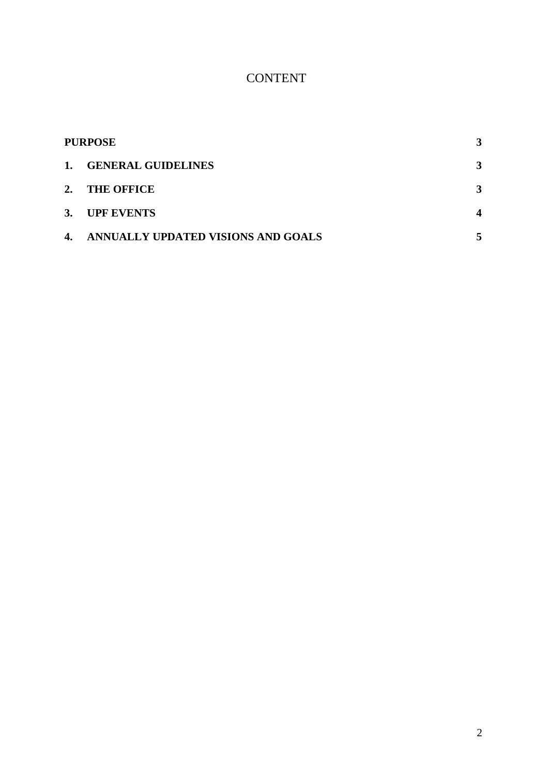## CONTENT

| <b>PURPOSE</b> |                                    | 3                |
|----------------|------------------------------------|------------------|
| 1.             | <b>GENERAL GUIDELINES</b>          | 3                |
| 2.             | <b>THE OFFICE</b>                  | 3                |
| <b>3.</b>      | <b>UPF EVENTS</b>                  | $\boldsymbol{4}$ |
| 4.             | ANNUALLY UPDATED VISIONS AND GOALS | 5                |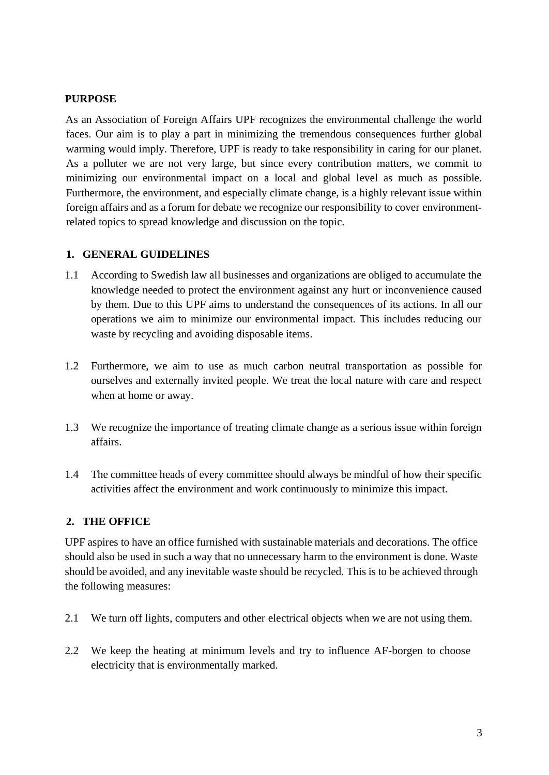#### <span id="page-2-0"></span>**PURPOSE**

As an Association of Foreign Affairs UPF recognizes the environmental challenge the world faces. Our aim is to play a part in minimizing the tremendous consequences further global warming would imply. Therefore, UPF is ready to take responsibility in caring for our planet. As a polluter we are not very large, but since every contribution matters, we commit to minimizing our environmental impact on a local and global level as much as possible. Furthermore, the environment, and especially climate change, is a highly relevant issue within foreign affairs and as a forum for debate we recognize our responsibility to cover environmentrelated topics to spread knowledge and discussion on the topic.

#### <span id="page-2-1"></span>**1. GENERAL GUIDELINES**

- 1.1 According to Swedish law all businesses and organizations are obliged to accumulate the knowledge needed to protect the environment against any hurt or inconvenience caused by them. Due to this UPF aims to understand the consequences of its actions. In all our operations we aim to minimize our environmental impact. This includes reducing our waste by recycling and avoiding disposable items.
- 1.2 Furthermore, we aim to use as much carbon neutral transportation as possible for ourselves and externally invited people. We treat the local nature with care and respect when at home or away.
- 1.3 We recognize the importance of treating climate change as a serious issue within foreign affairs.
- 1.4 The committee heads of every committee should always be mindful of how their specific activities affect the environment and work continuously to minimize this impact.

#### <span id="page-2-2"></span>**2. THE OFFICE**

UPF aspires to have an office furnished with sustainable materials and decorations. The office should also be used in such a way that no unnecessary harm to the environment is done. Waste should be avoided, and any inevitable waste should be recycled. This is to be achieved through the following measures:

- 2.1 We turn off lights, computers and other electrical objects when we are not using them.
- 2.2 We keep the heating at minimum levels and try to influence AF-borgen to choose electricity that is environmentally marked.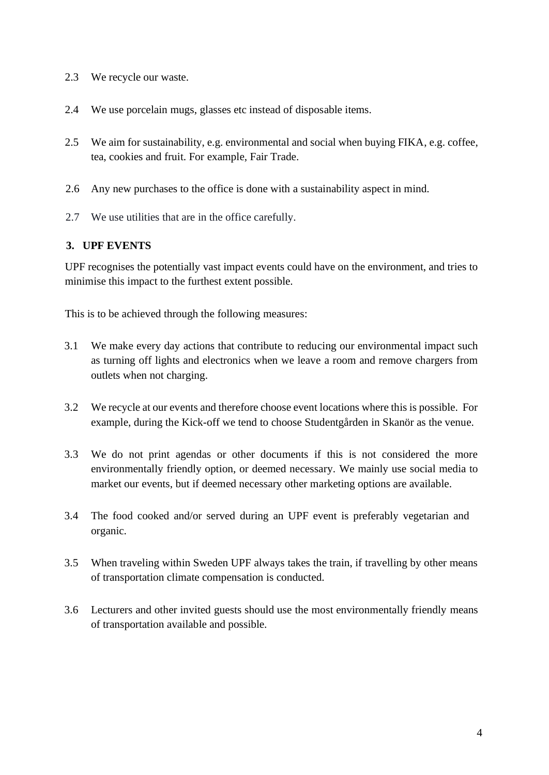- 2.3 We recycle our waste.
- 2.4 We use porcelain mugs, glasses etc instead of disposable items.
- 2.5 We aim for sustainability, e.g. environmental and social when buying FIKA, e.g. coffee, tea, cookies and fruit. For example, Fair Trade.
- 2.6 Any new purchases to the office is done with a sustainability aspect in mind.
- 2.7 We use utilities that are in the office carefully.

#### <span id="page-3-0"></span>**3. UPF EVENTS**

UPF recognises the potentially vast impact events could have on the environment, and tries to minimise this impact to the furthest extent possible.

This is to be achieved through the following measures:

- 3.1 We make every day actions that contribute to reducing our environmental impact such as turning off lights and electronics when we leave a room and remove chargers from outlets when not charging.
- 3.2 We recycle at our events and therefore choose event locations where this is possible. For example, during the Kick-off we tend to choose Studentgården in Skanör as the venue.
- 3.3 We do not print agendas or other documents if this is not considered the more environmentally friendly option, or deemed necessary. We mainly use social media to market our events, but if deemed necessary other marketing options are available.
- 3.4 The food cooked and/or served during an UPF event is preferably vegetarian and organic.
- 3.5 When traveling within Sweden UPF always takes the train, if travelling by other means of transportation climate compensation is conducted.
- 3.6 Lecturers and other invited guests should use the most environmentally friendly means of transportation available and possible.